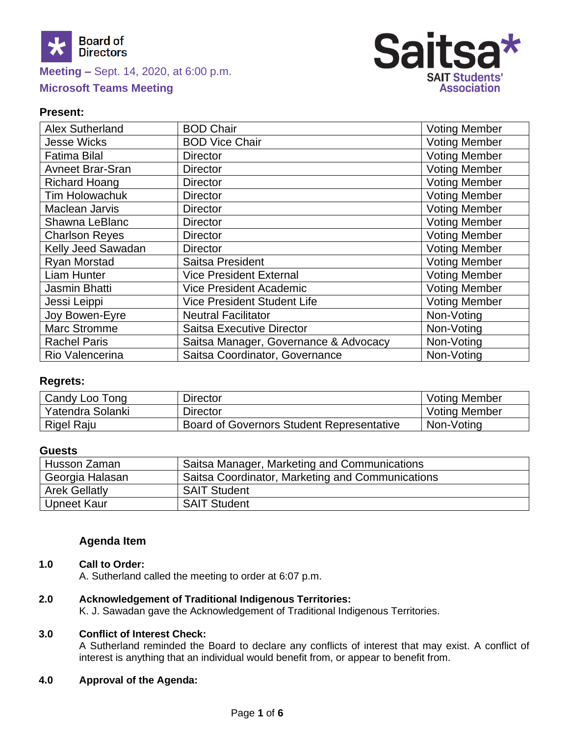



### **Present:**

| Alex Sutherland         | <b>BOD Chair</b>                      | <b>Voting Member</b> |
|-------------------------|---------------------------------------|----------------------|
| <b>Jesse Wicks</b>      | <b>BOD Vice Chair</b>                 | <b>Voting Member</b> |
| <b>Fatima Bilal</b>     | <b>Director</b>                       | <b>Voting Member</b> |
| <b>Avneet Brar-Sran</b> | <b>Director</b>                       | <b>Voting Member</b> |
| <b>Richard Hoang</b>    | <b>Director</b>                       | <b>Voting Member</b> |
| <b>Tim Holowachuk</b>   | <b>Director</b>                       | <b>Voting Member</b> |
| Maclean Jarvis          | <b>Director</b>                       | <b>Voting Member</b> |
| Shawna LeBlanc          | <b>Director</b>                       | <b>Voting Member</b> |
| <b>Charlson Reyes</b>   | <b>Director</b>                       | <b>Voting Member</b> |
| Kelly Jeed Sawadan      | <b>Director</b>                       | <b>Voting Member</b> |
| Ryan Morstad            | Saitsa President                      | <b>Voting Member</b> |
| <b>Liam Hunter</b>      | <b>Vice President External</b>        | <b>Voting Member</b> |
| Jasmin Bhatti           | <b>Vice President Academic</b>        | <b>Voting Member</b> |
| Jessi Leippi            | <b>Vice President Student Life</b>    | <b>Voting Member</b> |
| Joy Bowen-Eyre          | <b>Neutral Facilitator</b>            | Non-Voting           |
| <b>Marc Stromme</b>     | <b>Saitsa Executive Director</b>      | Non-Voting           |
| <b>Rachel Paris</b>     | Saitsa Manager, Governance & Advocacy | Non-Voting           |
| Rio Valencerina         | Saitsa Coordinator, Governance        | Non-Voting           |

### **Regrets:**

| Candy Loo Tong   | Director                                         | <b>Voting Member</b> |
|------------------|--------------------------------------------------|----------------------|
| Yatendra Solanki | Director                                         | <b>Voting Member</b> |
| Rigel Raju       | <b>Board of Governors Student Representative</b> | Non-Voting           |

### **Guests**

| Husson Zaman         | Saitsa Manager, Marketing and Communications     |
|----------------------|--------------------------------------------------|
| Georgia Halasan      | Saitsa Coordinator, Marketing and Communications |
| <b>Arek Gellatly</b> | <b>SAIT Student</b>                              |
| Upneet Kaur          | <b>SAIT Student</b>                              |

### **Agenda Item**

#### **1.0 Call to Order:**

A. Sutherland called the meeting to order at 6:07 p.m.

#### **2.0 Acknowledgement of Traditional Indigenous Territories:**

K. J. Sawadan gave the Acknowledgement of Traditional Indigenous Territories.

### **3.0 Conflict of Interest Check:**

A Sutherland reminded the Board to declare any conflicts of interest that may exist. A conflict of interest is anything that an individual would benefit from, or appear to benefit from.

#### **4.0 Approval of the Agenda:**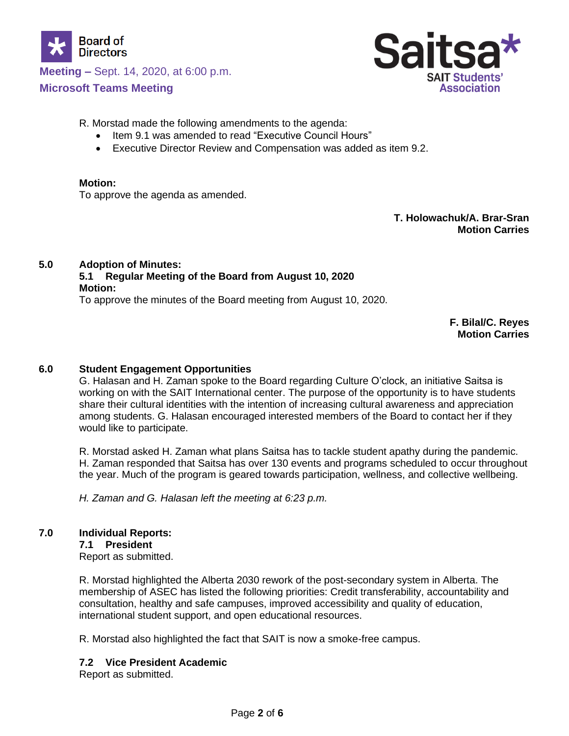

**Meeting –** Sept. 14, 2020, at 6:00 p.m.

**Microsoft Teams Meeting**



R. Morstad made the following amendments to the agenda:

- Item 9.1 was amended to read "Executive Council Hours"
- Executive Director Review and Compensation was added as item 9.2.

#### **Motion:**

To approve the agenda as amended.

**T. Holowachuk/A. Brar-Sran Motion Carries**

## **5.0 Adoption of Minutes: 5.1 Regular Meeting of the Board from August 10, 2020**

#### **Motion:**

To approve the minutes of the Board meeting from August 10, 2020.

**F. Bilal/C. Reyes Motion Carries**

### **6.0 Student Engagement Opportunities**

G. Halasan and H. Zaman spoke to the Board regarding Culture O'clock, an initiative Saitsa is working on with the SAIT International center. The purpose of the opportunity is to have students share their cultural identities with the intention of increasing cultural awareness and appreciation among students. G. Halasan encouraged interested members of the Board to contact her if they would like to participate.

R. Morstad asked H. Zaman what plans Saitsa has to tackle student apathy during the pandemic. H. Zaman responded that Saitsa has over 130 events and programs scheduled to occur throughout the year. Much of the program is geared towards participation, wellness, and collective wellbeing.

*H. Zaman and G. Halasan left the meeting at 6:23 p.m.*

### **7.0 Individual Reports:**

#### **7.1 President**

Report as submitted.

R. Morstad highlighted the Alberta 2030 rework of the post-secondary system in Alberta. The membership of ASEC has listed the following priorities: Credit transferability, accountability and consultation, healthy and safe campuses, improved accessibility and quality of education, international student support, and open educational resources.

R. Morstad also highlighted the fact that SAIT is now a smoke-free campus.

### **7.2 Vice President Academic**

Report as submitted.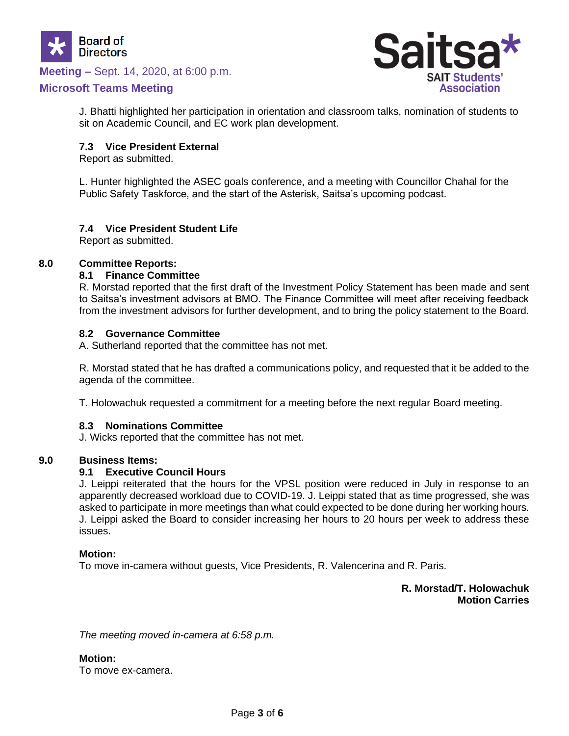

### **Meeting –** Sept. 14, 2020, at 6:00 p.m.

### **Microsoft Teams Meeting**



J. Bhatti highlighted her participation in orientation and classroom talks, nomination of students to sit on Academic Council, and EC work plan development.

#### **7.3 Vice President External**

Report as submitted.

L. Hunter highlighted the ASEC goals conference, and a meeting with Councillor Chahal for the Public Safety Taskforce, and the start of the Asterisk, Saitsa's upcoming podcast.

#### **7.4 Vice President Student Life**

Report as submitted.

#### **8.0 Committee Reports:**

#### **8.1 Finance Committee**

R. Morstad reported that the first draft of the Investment Policy Statement has been made and sent to Saitsa's investment advisors at BMO. The Finance Committee will meet after receiving feedback from the investment advisors for further development, and to bring the policy statement to the Board.

#### **8.2 Governance Committee**

A. Sutherland reported that the committee has not met.

R. Morstad stated that he has drafted a communications policy, and requested that it be added to the agenda of the committee.

T. Holowachuk requested a commitment for a meeting before the next regular Board meeting.

#### **8.3 Nominations Committee**

J. Wicks reported that the committee has not met.

#### **9.0 Business Items:**

#### **9.1 Executive Council Hours**

J. Leippi reiterated that the hours for the VPSL position were reduced in July in response to an apparently decreased workload due to COVID-19. J. Leippi stated that as time progressed, she was asked to participate in more meetings than what could expected to be done during her working hours. J. Leippi asked the Board to consider increasing her hours to 20 hours per week to address these issues.

#### **Motion:**

To move in-camera without guests, Vice Presidents, R. Valencerina and R. Paris.

**R. Morstad/T. Holowachuk Motion Carries**

*The meeting moved in-camera at 6:58 p.m.*

#### **Motion:**

To move ex-camera.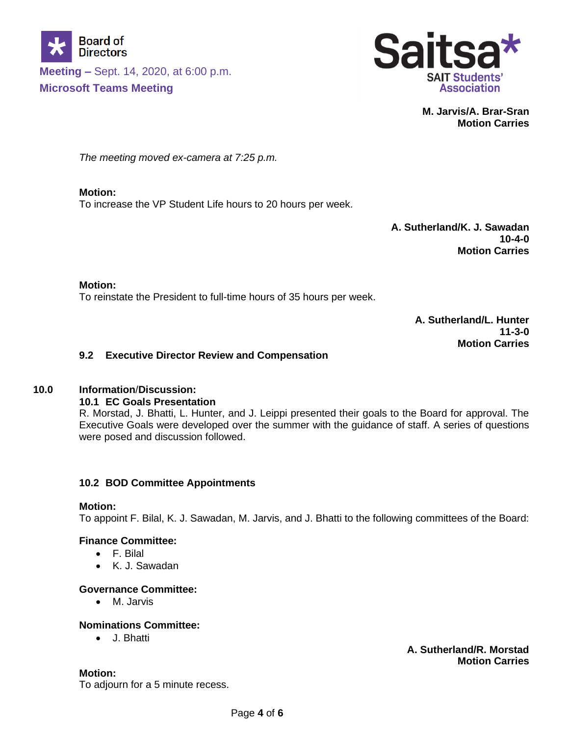



**M. Jarvis/A. Brar-Sran Motion Carries**

*The meeting moved ex-camera at 7:25 p.m.*

**Motion:** To increase the VP Student Life hours to 20 hours per week.

> **A. Sutherland/K. J. Sawadan 10-4-0 Motion Carries**

#### **Motion:**

To reinstate the President to full-time hours of 35 hours per week.

**A. Sutherland/L. Hunter 11-3-0 Motion Carries**

### **9.2 Executive Director Review and Compensation**

#### **10.0 Information**/**Discussion:**

#### **10.1 EC Goals Presentation**

R. Morstad, J. Bhatti, L. Hunter, and J. Leippi presented their goals to the Board for approval. The Executive Goals were developed over the summer with the guidance of staff. A series of questions were posed and discussion followed.

### **10.2 BOD Committee Appointments**

#### **Motion:**

To appoint F. Bilal, K. J. Sawadan, M. Jarvis, and J. Bhatti to the following committees of the Board:

#### **Finance Committee:**

- F. Bilal
- K. J. Sawadan

### **Governance Committee:**

• M. Jarvis

#### **Nominations Committee:**

• J. Bhatti

**Motion:**

To adjourn for a 5 minute recess.

**A. Sutherland/R. Morstad Motion Carries**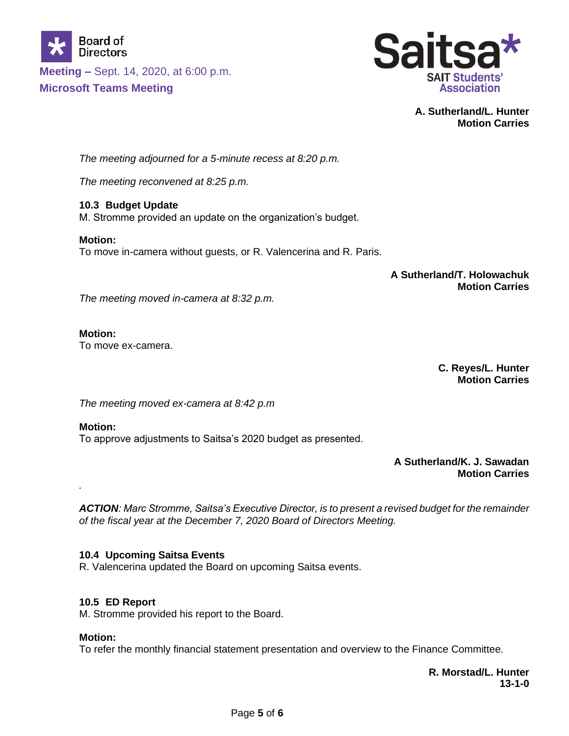



**A. Sutherland/L. Hunter Motion Carries**

*The meeting adjourned for a 5-minute recess at 8:20 p.m.*

*The meeting reconvened at 8:25 p.m.*

**10.3 Budget Update** M. Stromme provided an update on the organization's budget.

**Motion:** To move in-camera without guests, or R. Valencerina and R. Paris.

> **A Sutherland/T. Holowachuk Motion Carries**

*The meeting moved in-camera at 8:32 p.m.*

### **Motion:**

To move ex-camera.

**C. Reyes/L. Hunter Motion Carries**

*The meeting moved ex-camera at 8:42 p.m*

### **Motion:**

*.*

To approve adjustments to Saitsa's 2020 budget as presented.

**A Sutherland/K. J. Sawadan Motion Carries**

*ACTION: Marc Stromme, Saitsa's Executive Director, is to present a revised budget for the remainder of the fiscal year at the December 7, 2020 Board of Directors Meeting.* 

### **10.4 Upcoming Saitsa Events**

R. Valencerina updated the Board on upcoming Saitsa events.

### **10.5 ED Report**

M. Stromme provided his report to the Board.

### **Motion:**

To refer the monthly financial statement presentation and overview to the Finance Committee.

**R. Morstad/L. Hunter 13-1-0**